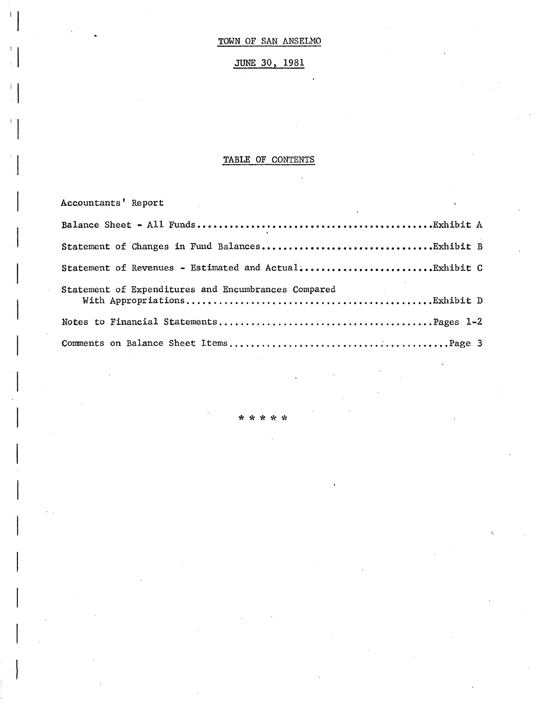# JUNE 30, 1981

# TABLE OF CONTENTS

 $\frac{1}{2}$ 

| Accountants' Report<br>$\mathcal{L}^{\text{max}}_{\text{max}}$ , where $\mathcal{L}^{\text{max}}_{\text{max}}$ |  |
|----------------------------------------------------------------------------------------------------------------|--|
|                                                                                                                |  |
|                                                                                                                |  |
| Statement of Revenues - Estimated and ActualExhibit C                                                          |  |
| Statement of Expenditures and Encumbrances Compared                                                            |  |
|                                                                                                                |  |
|                                                                                                                |  |

\*\*\*\*\*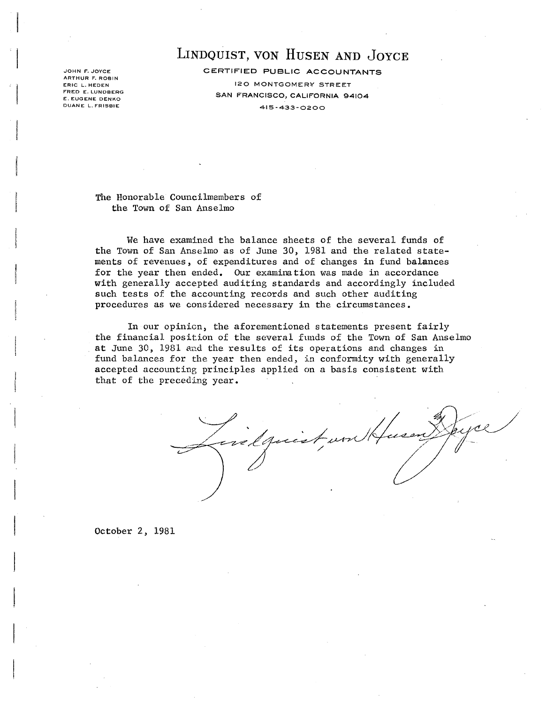JOHN F. JOYCE ARTHUR F. ROBIN ERIC L. HEDEN FRED E. LUNDBERG E. EUGENE DENKO DUANE L. FRISBIE

# LINDQUIST, VON HUSEN AND JOYCE

CERTIFIED PUBLIC ACCOUNTANTS 120 MONTGOMER¥ STREET SAN FRANCISCO, CALIFORNIA 94104 415-433-0200

The Honorable Councilmembers of the Town of San Anselmo

We have examined the balance sheets of the several funds of the Town of San Anselmo as of June 30, 1981 and the related statements of revenues, of expenditures and of changes in fund balances for the year then ended. Our examination was made in accordance with generally accepted auditing standards and accordingly included such tests of the accounting records and such other auditing procedures as we considered necessary in the circumstances.

In our opinicn, the aforementioned statements present fairly the financial position of the several funds of the Town of San Anselmo at June 30, 1981 and the results of its operations and changes in fund balances for the year then ended, in conformity with generally accepted accounting principles applied on a basis consistent with that of the preceding year.

elquiet

October 2, 1981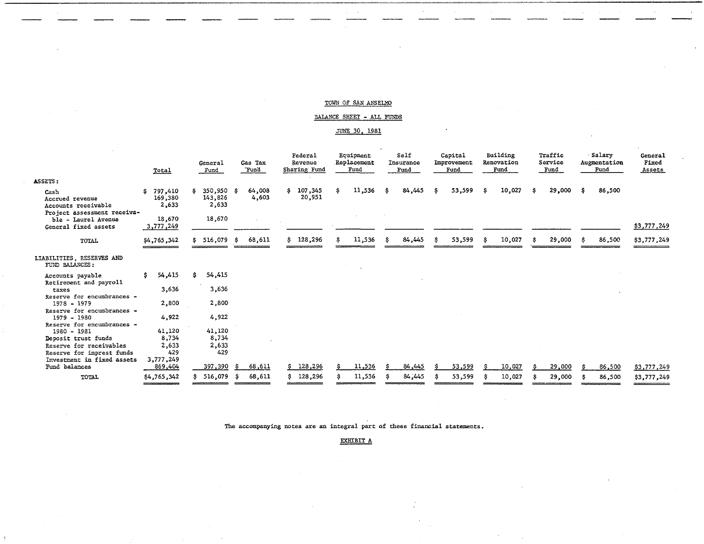""'''=\_"'Mti.".".... \_-\_\_\_ ~\_. \_\_\_ =~=' """~-~ \_\_ .~-»===~

## BALANCE SHEET - ALL FUNDS

### JUNE 30, 1981

|                                                                               | Total                             | General<br>Fund                        | Gas Tax<br>Fund | Federal<br>Revenue<br>Sharing Fund | Equipment<br>Replacement<br>Fund | Self<br>Insurance<br>Fund | Capital<br>Improvement<br>Fund | Building<br>Renovation<br>Fund | Traffic<br>Service<br>Fund | Salary<br>Augmentation<br>Fund | General<br>Fixed<br>Assets |
|-------------------------------------------------------------------------------|-----------------------------------|----------------------------------------|-----------------|------------------------------------|----------------------------------|---------------------------|--------------------------------|--------------------------------|----------------------------|--------------------------------|----------------------------|
| ASSETS:                                                                       |                                   |                                        |                 |                                    |                                  |                           |                                |                                |                            |                                |                            |
| Cash<br>Accrued revenue<br>Accounts receivable<br>Project assessment receiva- | 797,410<br>Ŝ.<br>169,380<br>2,633 | $350,950$ \$<br>S.<br>143,826<br>2,633 | 64,008<br>4,603 | \$107,345<br>20,951                | 11,536<br>s                      | 84,445<br>Ŝ.              | 53,599<br>s                    | 10,027<br>-\$                  | 29,000<br>-S               | 86,500<br>ŝ.                   |                            |
| ble - Laurel Avenue<br>General fixed assets                                   | 18,670<br>3,777,249               | 18,670                                 |                 |                                    |                                  |                           |                                |                                |                            |                                | \$3,777,249                |
| TOTAL                                                                         | \$4,765,342                       | \$516,079                              | 68,611<br>- S   | \$128,296                          | 11,536                           | 84,445<br>-S              | 53,599<br>s                    | 10,027<br>ŝ                    | 29,000<br>-S               | 86,500<br>s                    | \$3,777,249                |
| LIABILITIES, RESERVES AND<br>FUND BALANCES:                                   |                                   |                                        |                 |                                    |                                  |                           |                                |                                |                            |                                |                            |
| Accounts payable<br>Retirement and payroll                                    | 54,415<br>\$                      | 54,415<br>s.                           |                 |                                    |                                  |                           |                                |                                |                            |                                |                            |
| taxes<br>Reserve for encumbrances -                                           | 3,636                             | 3,636                                  |                 |                                    |                                  |                           |                                |                                |                            |                                |                            |
| $1978 - 1979$                                                                 | 2,800                             | 2,800                                  |                 |                                    |                                  |                           |                                |                                |                            |                                |                            |
| Reserve for encumbrances -<br>1979 - 1980<br>Reserve for encumbrances -       | 4,922                             | 4,922                                  |                 |                                    |                                  |                           |                                |                                |                            |                                |                            |
| 1980 - 1981                                                                   | 41,120                            | 41,120                                 |                 |                                    |                                  |                           |                                |                                |                            |                                |                            |
| Deposit trust funds                                                           | 8,734                             | 8,734                                  |                 |                                    |                                  |                           |                                |                                |                            |                                |                            |
| Reserve for receivables                                                       | 2,633                             | 2,633                                  |                 |                                    |                                  |                           |                                |                                |                            |                                |                            |
| Reserve for imprest funds                                                     | 429                               | 429                                    |                 |                                    |                                  |                           |                                |                                |                            |                                |                            |
| Investment in fixed assets<br>Fund balances                                   | 3,777,249<br>869,404              | 397,390                                | 68,611          | 128,296                            | 11,536                           | 84,445                    | 53,599                         | 10,027                         | 29,000                     | 86,500                         | \$3,777,249                |
| TOTAL                                                                         | \$4,765,342                       | 516,079                                | 68,611<br>- S   | 128,296                            | 11,536                           | 84,445                    | 53,599                         | 10,027                         | 29,000                     | 86,500                         | \$3,777,249                |

The accompanying notes are an integral part of these financial statements.

EXHIBIT A

 $\mathbf{r}$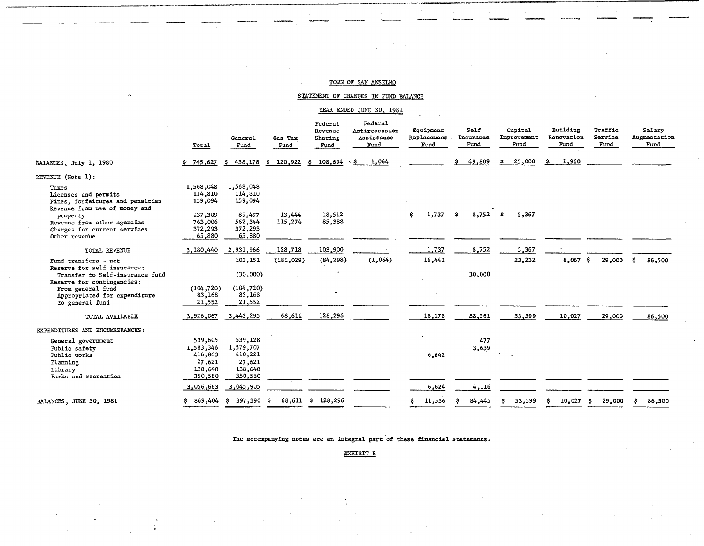# STATEMENT OF CHANGES IN FUND BALANCE

# YEAR ENDED JUNE 30, 1981

|                                                                                                    | Total                                                           | General<br>Fund                                                 | Gas Tax<br>Fund   | <b>Federal</b><br>Revenue<br>Sharing<br>Fund | Federal<br>Antirecession<br>Assistance<br>Fund | Equipment<br>Replacement<br>Fund | Self<br>Insurance<br>Fund | Capital<br>Improvement<br>Fund | Building<br>Renovation<br>Fund | Traffic<br>Service<br>Fund | Salary<br>Augmentation<br>Fund |
|----------------------------------------------------------------------------------------------------|-----------------------------------------------------------------|-----------------------------------------------------------------|-------------------|----------------------------------------------|------------------------------------------------|----------------------------------|---------------------------|--------------------------------|--------------------------------|----------------------------|--------------------------------|
| BALANCES, July 1, 1980                                                                             | \$745,627                                                       | 438,178<br>S.                                                   | 120,922<br>s.     | 108,694<br>S.                                | 1,064<br>\$.                                   |                                  | 49,809                    | 25,000                         | 1,960<br>\$.                   |                            |                                |
| REVENUE (Note 1):                                                                                  |                                                                 |                                                                 |                   |                                              |                                                |                                  |                           |                                |                                |                            |                                |
| Taxes<br>Licenses and permits<br>Fines, forfeitures and penalties<br>Revenue from use of money and | 1,568,048<br>114,810<br>159,094                                 | 1,568,048<br>114,810<br>159,094                                 |                   |                                              |                                                |                                  |                           |                                |                                |                            |                                |
| property<br>Revenue from other agencies<br>Charges for current services<br>Other revenue           | 137,309<br>763,006<br>372,293<br>65,880                         | 89,497<br>562,344<br>372,293<br>65,880                          | 13,444<br>115,274 | 18.512<br>85,388                             |                                                | 1,737<br>\$.                     | $8,752$ \$<br>s           | 5,367                          |                                |                            |                                |
| TOTAL REVENUE                                                                                      | 3,180,440                                                       | 2,931,966                                                       | 128,718           | 103,900                                      |                                                | 1,737                            | 8,752                     | 5,367                          |                                |                            |                                |
| Fund transfers - net                                                                               |                                                                 | 103,151                                                         | (181, 029)        | (84, 298)                                    | (1,064)                                        | 16,441                           |                           | 23,232                         | 8,067                          | -S<br>29,000               | -S<br>86,500                   |
| Reserve for self insurance:<br>Transfer to Self-insurance fund                                     |                                                                 | (30,000)                                                        |                   |                                              |                                                |                                  | 30,000                    |                                |                                |                            |                                |
| Reserve for contingencies:<br>From general fund<br>Appropriated for expenditure<br>To general fund | (104, 720)<br>83,168<br>21,552                                  | (104, 720)<br>83,168<br>21,552                                  |                   |                                              |                                                |                                  |                           |                                |                                |                            |                                |
| TOTAL AVAILABLE                                                                                    | 3,926,067                                                       | 3,443,295                                                       | 68,611            | 128,296                                      |                                                | 18,178                           | 88,561                    | 53,599                         | 10,027                         | 29,000                     | 86,500                         |
| EXPENDITURES AND ENCUMBERANCES:                                                                    |                                                                 |                                                                 |                   |                                              |                                                |                                  |                           |                                |                                |                            |                                |
| General government<br>Public safety<br>Public works<br>Planning<br>Library<br>Parks and recreation | 539,605<br>1,583,346<br>416,863<br>27,621<br>138,648<br>350,580 | 539,128<br>1,579,707<br>410,221<br>27,621<br>138,648<br>350,580 |                   |                                              |                                                | 6,642                            | 477<br>3,639              |                                |                                |                            |                                |
|                                                                                                    | 3,056,663                                                       | 3,045,905                                                       |                   |                                              |                                                | 6,624                            | 4,116                     |                                |                                |                            |                                |
| BALANCES, JUNE 30, 1981                                                                            |                                                                 | \$869,404\$397,390\$                                            |                   | 68,611 \$ 128,296                            |                                                | 11,536<br>s                      | 84,445<br>s               | 53,599<br>s                    | 10,027<br>s                    | 29,000<br>-S               | 86,500<br>s                    |

The accompanying notes are an integral part of these financial statements.

EXHIBIT B

~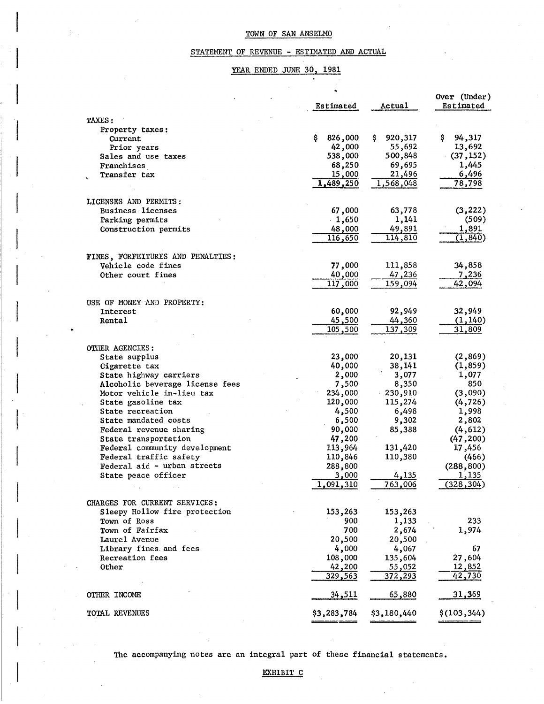# STATEMENT OF REVENUE - ESTIMATED AND ACTUAL

# YEAR ENDED JUNE 30, 1981

|                                   | Estimated    | Actual       | Over (Under)<br>Estimated |
|-----------------------------------|--------------|--------------|---------------------------|
| TAXES:                            |              |              |                           |
| Property taxes:                   |              |              |                           |
| Current                           | 826,000<br>Ş | 920,317<br>s | 94,317<br>Ş.              |
| Prior years                       | 42,000       | 55,692       | 13,692                    |
| Sales and use taxes               | 538,000      | 500,848      | (37, 152)                 |
| Franchises                        | 68,250       | 69,695       | 1,445                     |
| Transfer tax                      | 15,000       | 21,496       | 6,496                     |
|                                   | 1,489,250    | 1,568,048    | 78,798                    |
|                                   |              |              |                           |
| LICENSES AND PERMITS:             |              |              |                           |
| <b>Business licenses</b>          | 67,000       | 63,778       | (3, 222)                  |
| Parking permits                   | $-1,650$     | 1,141        | (509)                     |
| Construction permits              | 48,000       | 49,891       | 1,891                     |
|                                   | 116,650      | 114,810      | (1, 840)                  |
|                                   |              |              |                           |
| FINES, FORFEITURES AND PENALTIES: |              |              |                           |
| Vehicle code fines                | 77,000       | 111,858      | 34,858                    |
| Other court fines                 | 40,000       | 47,236       | 7,236                     |
|                                   | 117,000      | 159,094      | 42,094                    |
|                                   |              |              |                           |
| USE OF MONEY AND PROPERTY:        |              |              |                           |
|                                   | 60,000       | 92,949       | 32,949                    |
| Interest                          |              |              |                           |
| Rental                            | 45,500       | 44,360       | (1, 140)                  |
|                                   | 105,500      | 137,309      | 31,809                    |
|                                   |              |              |                           |
| <b>OTHER AGENCIES:</b>            |              |              |                           |
| State surplus                     | 23,000       | 20,131       | (2, 869)                  |
| Cigarette tax                     | 40,000       | 38,141       | (1, 859)                  |
| State highway carriers            | 2,000        | 3,077        | 1,077                     |
| Alcoholic beverage license fees   | 7,500        | 8,350        | 850                       |
| Motor vehicle in-lieu tax         | 234,000      | 230,910      | (3,090)                   |
| State gasoline tax                | 120,000      | 115,274      | (4, 726)                  |
| State recreation                  | 4,500        | 6,498        | 1,998                     |
| State mandated costs              | 6,500        | 9,302        | 2,802                     |
| Federal revenue sharing           | 90,000       | 85,388       | (4, 612)                  |
| State transportation              | 47,200       |              | (47, 200)                 |
| Federal community development     | 113,964      | 131,420      | 17,456                    |
| Federal traffic safety            | 110,846      | 110,380      | (466)                     |
| Federal aid - urban streets       | 288,800      |              | (288, 800)                |
| State peace officer               | 3,000        | 4,135        | 1,135                     |
|                                   | 1,091,310    | 763,006      | (328, 304)                |
|                                   |              |              |                           |
| CHARGES FOR CURRENT SERVICES:     |              |              |                           |
| Sleepy Hollow fire protection     | 153,263      | 153,263      |                           |
| <b>Town of Ross</b>               | 900          | 1,133        | 233                       |
| Town of Fairfax                   | 700          | 2,674        | 1,974                     |
| Laurel Avenue                     | 20,500       | 20,500       |                           |
| Library fines and fees            | 4,000        | 4,067        | 67                        |
| Recreation fees                   | 108,000      | 135,604      | 27,604                    |
| Other                             | 42,200       | 55,052       | 12,852                    |
|                                   | 329,563      | 372,293      | 42,730                    |
|                                   |              |              |                           |
| OTHER INCOME                      | 34,511       | 65,880       | <u>31,369</u>             |
|                                   |              |              |                           |
| TOTAL REVENUES                    | \$3,283,784  | \$3,180,440  | \$(103, 344)              |
|                                   |              |              |                           |

The accompanying notes are an integral part of these financial statements.

 $\vert$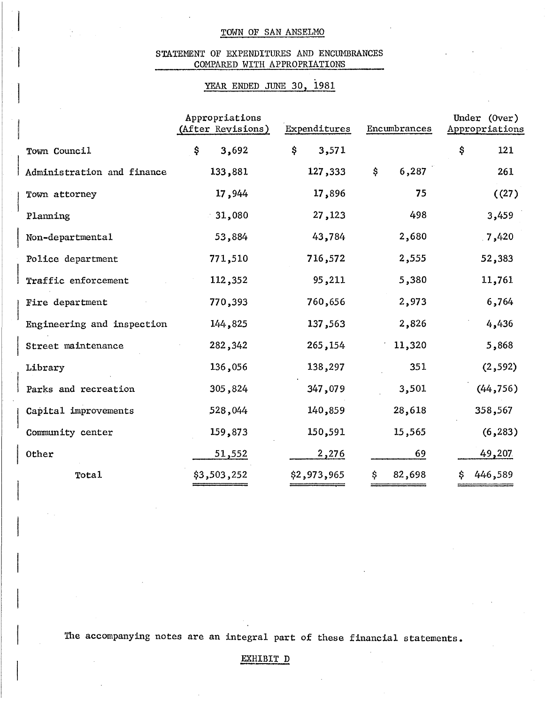# STATEMENT OF EXPENDITURES AND ENCUMBRANCES COMPARED WITH APPROPRIATIONS

# YEAR ENDED JUNE 30, 1981

|                            | Appropriations<br>(After Revisions) | Expenditures | Encumbrances | Under (Over)<br>Appropriations |
|----------------------------|-------------------------------------|--------------|--------------|--------------------------------|
| Town Council               | \$.<br>3,692                        | \$<br>3,571  |              | \$<br>121                      |
| Administration and finance | 133,881                             | 127,333      | \$<br>6,287  | 261                            |
| Town attorney              | 17,944                              | 17,896       | 75           | (27)                           |
| Planning                   | 31,080                              | 27,123       | 498          | 3,459                          |
| Non-departmental           | 53,884                              | 43,784       | 2,680        | .7,420                         |
| Police department          | 771,510                             | 716,572      | 2,555        | 52,383                         |
| Traffic enforcement        | 112,352                             | 95,211       | 5,380        | 11,761                         |
| Fire department            | 770,393                             | 760,656      | 2,973        | 6,764                          |
| Engineering and inspection | 144,825                             | 137,563      | 2,826        | 4,436                          |
| Street maintenance         | 282, 342                            | 265, 154     | 11,320       | 5,868                          |
| Library                    | 136,056                             | 138,297      | 351          | (2, 592)                       |
| Parks and recreation       | 305,824                             | 347,079      | 3,501        | (44, 756)                      |
| Capital improvements       | 528,044                             | 140,859      | 28,618       | 358,567                        |
| Community center           | 159,873                             | 150,591      | 15,565       | (6, 283)                       |
| <b>Other</b>               | 51,552                              | 2,276        | 69           | 49,207                         |
| Tota1                      | \$3,503,252                         | \$2,973,965  | \$<br>82,698 | 446,589<br>\$                  |

The accompanying notes are an integral part of these financial statements.

# EXHIBIT D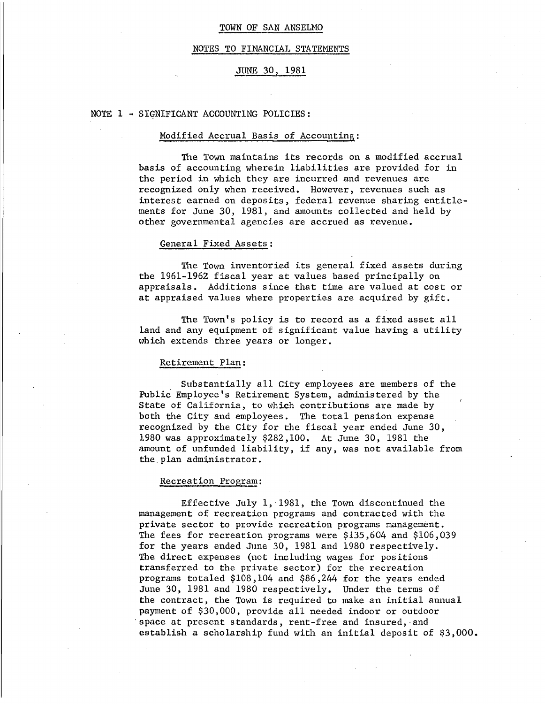#### NOTES TO FINANCIAL STATEMENTS

# JUNE 30, 1981

#### NOTE 1 - SIGNIFICANT ACCOUNTING POLICIES:

#### Modified Accrual Basis of Accounting:

The Town maintains its records on a modified accrual basis of accounting wherein liabilities are provided for in the period in which they are incurred and revenues are recognized only when received. However, revenues such as interest earned on deposits, federal revenue sharing entitlements for June 30, 1981, and amounts collected and held by other governmental agencies are accrued as revenue.

### General Fixed Assets:

The Town inventoried its general fixed assets during the 1961-1962 fiscal year at values based principally on appraisals. Additions since that time are valued at cost or at appraised values where properties are acquired by gift.

The Town's policy is to record as a fixed asset all land and any equipment of significant value having a utility which extends three years or longer.

## Retirement Plan:

Substantially all City employees are members of the Public Employee's Retirement System, administered by the State of California, to which contributions are made by both the City and employees. The total pension expense recognized by the City for the fiscal year ended June 30, 1980 was approximately \$282,100. At June 30, 1981 the amount of unfunded liability, if any, was not available from the. plan administrator.

#### Recreation Program:

Effective July 1, 1981, the Town discontinued the management of recreation programs and contracted with the private sector to provide recreation programs management. The fees for recreation programs were \$135,604 and \$106,039 for the years ended June 30, 1981 and 1980 respectively. The direct expenses (not including wages for positions transferred to the private sector) for the recreation programs totaled \$108,104 and \$86,244 for the years ended June 30, 1981 and 1980 respectively. Under the terms of the contract, the Town is required to make an initial annual payment of \$30,000, provide all needed indoor or outdoor space at present standards, rent-free and insured, and establish a scholarship fund with an initial deposit of \$3,000.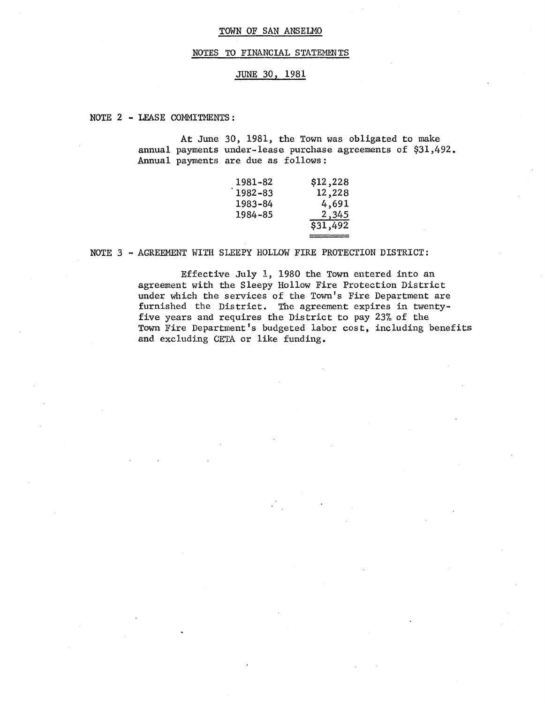### NOTES TO FINANCIAL STATEMENTS

# JUNE 30, 1981

NOTE 2 - LEASE COMMITMENTS:

At June 30, 1981, the Town was obligated to make annual payments under-lease purchase agreements of \$31,492. Annual payments are due as follows:

| 1981–82 | \$12,228 |
|---------|----------|
| 1982–83 | 12,228   |
| 1983-84 | 4,691    |
| 1984–85 | 2,345    |
|         | \$31,492 |
|         |          |

### NOTE 3 - AGREEMENT WITH SLEEPY HOLLOW FIRE PROTECTION DISTRICT:

Effective July 1, 1980 the Town entered into an agreement with the Sleepy Hollow Fire Protection District under which the services of the TOwn's Fire Department are furnished the District. The agreement expires in twentyfive years and requires the District to pay 23% of the Town Fire Department's budgeted labor cost, including benefits and excluding CETA or like funding.